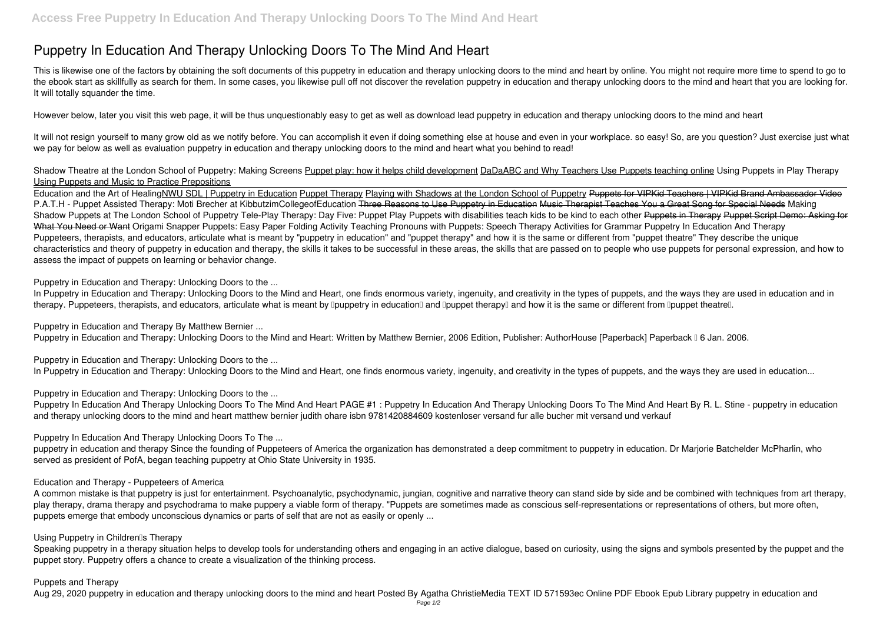# **Puppetry In Education And Therapy Unlocking Doors To The Mind And Heart**

This is likewise one of the factors by obtaining the soft documents of this **puppetry in education and therapy unlocking doors to the mind and heart** by online. You might not require more time to spend to go to the ebook start as skillfully as search for them. In some cases, you likewise pull off not discover the revelation puppetry in education and therapy unlocking doors to the mind and heart that you are looking for. It will totally squander the time.

It will not resign yourself to many grow old as we notify before. You can accomplish it even if doing something else at house and even in your workplace. so easy! So, are you question? Just exercise just what we pay for below as well as evaluation **puppetry in education and therapy unlocking doors to the mind and heart** what you behind to read!

However below, later you visit this web page, it will be thus unquestionably easy to get as well as download lead puppetry in education and therapy unlocking doors to the mind and heart

## *Shadow Theatre at the London School of Puppetry: Making Screens* Puppet play: how it helps child development DaDaABC and Why Teachers Use Puppets teaching online **Using Puppets in Play Therapy** Using Puppets and Music to Practice Prepositions

Education and the Art of HealingNWU SDL | Puppetry in Education Puppet Therapy Playing with Shadows at the London School of Puppetry Puppets for VIPKid Teachers | VIPKid Brand Ambassador Video *P.A.T.H - Puppet Assisted Therapy: Moti Brecher at KibbutzimCollegeofEducation* Three Reasons to Use Puppetry in Education Music Therapist Teaches You a Great Song for Special Needs *Making* Shadow Puppets at The London School of Puppetry Tele-Play Therapy: Day Five: Puppet Play Puppets with disabilities teach kids to be kind to each other Puppets in Therapy Puppet Script Demo: Asking for What You Need or Want *Origami Snapper Puppets: Easy Paper Folding Activity* **Teaching Pronouns with Puppets: Speech Therapy Activities for Grammar** Puppetry In Education And Therapy Puppeteers, therapists, and educators, articulate what is meant by "puppetry in education" and "puppet therapy" and how it is the same or different from "puppet theatre" They describe the unique characteristics and theory of puppetry in education and therapy, the skills it takes to be successful in these areas, the skills that are passed on to people who use puppets for personal expression, and how to assess the impact of puppets on learning or behavior change.

Puppetry in Education and Therapy By Matthew Bernier ... Puppetry in Education and Therapy: Unlocking Doors to the Mind and Heart: Written by Matthew Bernier, 2006 Edition, Publisher: AuthorHouse [Paperback] Paperback [ 6 Jan. 2006.

Puppetry in Education and Therapy: Unlocking Doors to the ... In Puppetry in Education and Therapy: Unlocking Doors to the Mind and Heart, one finds enormous variety, ingenuity, and creativity in the types of puppets, and the ways they are used in education...

Puppetry In Education And Therapy Unlocking Doors To The Mind And Heart PAGE #1: Puppetry In Education And Therapy Unlocking Doors To The Mind And Heart By R. L. Stine - puppetry in education and therapy unlocking doors to the mind and heart matthew bernier judith ohare isbn 9781420884609 kostenloser versand fur alle bucher mit versand und verkauf

puppetry in education and therapy Since the founding of Puppeteers of America the organization has demonstrated a deep commitment to puppetry in education. Dr Marjorie Batchelder McPharlin, who served as president of PofA, began teaching puppetry at Ohio State University in 1935.

Speaking puppetry in a therapy situation helps to develop tools for understanding others and engaging in an active dialogue, based on curiosity, using the signs and symbols presented by the puppet and the puppet story. Puppetry offers a chance to create a visualization of the thinking process.

Puppetry in Education and Therapy: Unlocking Doors to the ...

In Puppetry in Education and Therapy: Unlocking Doors to the Mind and Heart, one finds enormous variety, ingenuity, and creativity in the types of puppets, and the ways they are used in education and in therapy. Puppeteers, therapists, and educators, articulate what is meant by Douppetry in education and Douppet therapy and how it is the same or different from Douppet theatre.

Puppetry in Education and Therapy: Unlocking Doors to the ...

Puppetry In Education And Therapy Unlocking Doors To The ...

## Education and Therapy - Puppeteers of America

A common mistake is that puppetry is just for entertainment. Psychoanalytic, psychodynamic, jungian, cognitive and narrative theory can stand side by side and be combined with techniques from art therapy, play therapy, drama therapy and psychodrama to make puppery a viable form of therapy. "Puppets are sometimes made as conscious self-representations or representations of others, but more often, puppets emerge that embody unconscious dynamics or parts of self that are not as easily or openly ...

## Using Puppetry in Children<sup>®</sup>s Therapy

## Puppets and Therapy

Aug 29, 2020 puppetry in education and therapy unlocking doors to the mind and heart Posted By Agatha ChristieMedia TEXT ID 571593ec Online PDF Ebook Epub Library puppetry in education and